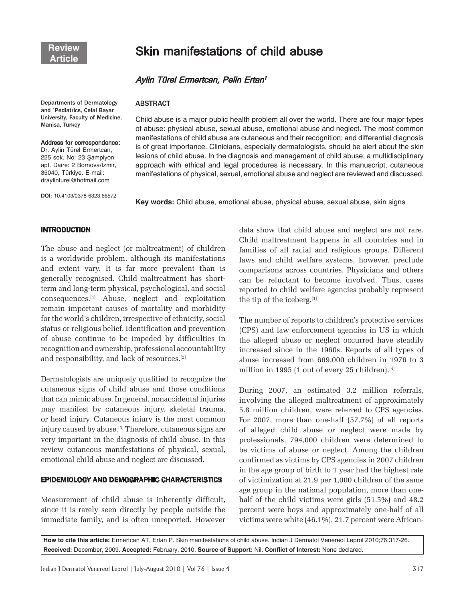# Skin manifestations of child abuse

# Aylin Türel Ermertcan, Pelin Ertan<sup>1</sup>

#### ABSTRACT

Departments of Dermatology and 1Pediatrics, Celal Bayar University, Faculty of Medicine, Manisa, Turkey

#### Address for correspondence:

Dr. Aylin Türel Ermertcan, 225 sok. No: 23 Şampiyon apt. Daire: 2 Bornova/İzmir, 35040, Türkiye. E-mail: draylinturel@hotmail.com

**DOI:** 10.4103/0378-6323.66572

Child abuse is a major public health problem all over the world. There are four major types of abuse: physical abuse, sexual abuse, emotional abuse and neglect. The most common manifestations of child abuse are cutaneous and their recognition; and differential diagnosis is of great importance. Clinicians, especially dermatologists, should be alert about the skin lesions of child abuse. In the diagnosis and management of child abuse, a multidisciplinary approach with ethical and legal procedures is necessary. In this manuscript, cutaneous manifestations of physical, sexual, emotional abuse and neglect are reviewed and discussed.

**Key words:** Child abuse, emotional abuse, physical abuse, sexual abuse, skin signs

## INTRODUCTION

The abuse and neglect (or maltreatment) of children is a worldwide problem, although its manifestations and extent vary. It is far more prevalent than is generally recognised. Child maltreatment has shortterm and long-term physical, psychological, and social consequences.[1] Abuse, neglect and exploitation remain important causes of mortality and morbidity for the world's children, irrespective of ethnicity, social status or religious belief. Identification and prevention of abuse continue to be impeded by difficulties in recognition and ownership, professional accountability and responsibility, and lack of resources.[2]

Dermatologists are uniquely qualified to recognize the cutaneous signs of child abuse and those conditions that can mimic abuse. In general, nonaccidental injuries may manifest by cutaneous injury, skeletal trauma, or head injury. Cutaneous injury is the most common injury caused by abuse.[3] Therefore, cutaneous signs are very important in the diagnosis of child abuse. In this review cutaneous manifestations of physical, sexual, emotional child abuse and neglect are discussed.

## EPIDEMIOLOGY AND DEMOGRAPHIC CHARACTERISTICS

Measurement of child abuse is inherently difficult, since it is rarely seen directly by people outside the immediate family, and is often unreported. However data show that child abuse and neglect are not rare. Child maltreatment happens in all countries and in families of all racial and religious groups. Different laws and child welfare systems, however, preclude comparisons across countries. Physicians and others can be reluctant to become involved. Thus, cases reported to child welfare agencies probably represent the tip of the iceberg.[1]

The number of reports to children's protective services (CPS) and law enforcement agencies in US in which the alleged abuse or neglect occurred have steadily increased since in the 1960s. Reports of all types of abuse increased from 669,000 children in 1976 to 3 million in 1995 (1 out of every 25 children).[4]

During 2007, an estimated 3.2 million referrals, involving the alleged maltreatment of approximately 5.8 million children, were referred to CPS agencies. For 2007, more than one-half (57.7%) of all reports of alleged child abuse or neglect were made by professionals. 794,000 children were determined to be victims of abuse or neglect. Among the children confirmed as victims by CPS agencies in 2007 children in the age group of birth to 1 year had the highest rate of victimization at 21.9 per 1,000 children of the same age group in the national population, more than onehalf of the child victims were girls (51.5%) and 48.2 percent were boys and approximately one-half of all victims were white (46.1%), 21.7 percent were African-

**How to cite this article:** Ermertcan AT, Ertan P. Skin manifestations of child abuse. Indian J Dermatol Venereol Leprol 2010;76:317-26. **Received:** December, 2009. **Accepted:** February, 2010. **Source of Support:** Nil. **Conflict of Interest:** None declared.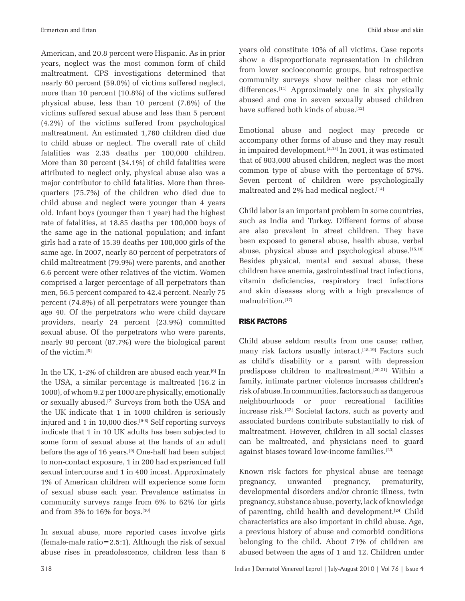American, and 20.8 percent were Hispanic. As in prior years, neglect was the most common form of child maltreatment. CPS investigations determined that nearly 60 percent (59.0%) of victims suffered neglect, more than 10 percent (10.8%) of the victims suffered physical abuse, less than 10 percent (7.6%) of the victims suffered sexual abuse and less than 5 percent (4.2%) of the victims suffered from psychological maltreatment. An estimated 1,760 children died due to child abuse or neglect. The overall rate of child fatalities was 2.35 deaths per 100,000 children. More than 30 percent (34.1%) of child fatalities were attributed to neglect only, physical abuse also was a major contributor to child fatalities. More than threequarters (75.7%) of the children who died due to child abuse and neglect were younger than 4 years old. Infant boys (younger than 1 year) had the highest rate of fatalities, at 18.85 deaths per 100,000 boys of the same age in the national population; and infant girls had a rate of 15.39 deaths per 100,000 girls of the same age. In 2007, nearly 80 percent of perpetrators of child maltreatment (79.9%) were parents, and another 6.6 percent were other relatives of the victim. Women comprised a larger percentage of all perpetrators than men, 56.5 percent compared to 42.4 percent. Nearly 75 percent (74.8%) of all perpetrators were younger than age 40. Of the perpetrators who were child daycare providers, nearly 24 percent (23.9%) committed sexual abuse. Of the perpetrators who were parents, nearly 90 percent (87.7%) were the biological parent of the victim.[5]

In the UK, 1-2% of children are abused each year.<sup>[6]</sup> In the USA, a similar percentage is maltreated (16.2 in 1000), of whom 9.2 per 1000 are physically, emotionally or sexually abused.[7] Surveys from both the USA and the UK indicate that 1 in 1000 children is seriously injured and 1 in 10,000 dies.<sup>[6-8]</sup> Self reporting surveys indicate that 1 in 10 UK adults has been subjected to some form of sexual abuse at the hands of an adult before the age of 16 years.[9] One-half had been subject to non-contact exposure, 1 in 200 had experienced full sexual intercourse and 1 in 400 incest. Approximately 1% of American children will experience some form of sexual abuse each year. Prevalence estimates in community surveys range from 6% to 62% for girls and from 3% to 16% for boys.[10]

In sexual abuse, more reported cases involve girls (female-male ratio=2.5:1). Although the risk of sexual abuse rises in preadolescence, children less than 6 years old constitute 10% of all victims. Case reports show a disproportionate representation in children from lower socioeconomic groups, but retrospective community surveys show neither class nor ethnic differences.<sup>[11]</sup> Approximately one in six physically abused and one in seven sexually abused children have suffered both kinds of abuse.<sup>[12]</sup>

Emotional abuse and neglect may precede or accompany other forms of abuse and they may result in impaired development.<sup>[2,13]</sup> In 2001, it was estimated that of 903,000 abused children, neglect was the most common type of abuse with the percentage of 57%. Seven percent of children were psychologically maltreated and 2% had medical neglect.<sup>[14]</sup>

Child labor is an important problem in some countries, such as India and Turkey. Different forms of abuse are also prevalent in street children. They have been exposed to general abuse, health abuse, verbal abuse, physical abuse and psychological abuse.[15,16] Besides physical, mental and sexual abuse, these children have anemia, gastrointestinal tract infections, vitamin deficiencies, respiratory tract infections and skin diseases along with a high prevalence of malnutrition.[17]

## RISK FACTORS

Child abuse seldom results from one cause; rather, many risk factors usually interact.<sup>[18,19]</sup> Factors such as child's disability or a parent with depression predispose children to maltreatment.<sup>[20,21]</sup> Within a family, intimate partner violence increases children's risk of abuse. In communities, factors such as dangerous neighbourhoods or poor recreational facilities increase risk.[22] Societal factors, such as poverty and associated burdens contribute substantially to risk of maltreatment. However, children in all social classes can be maltreated, and physicians need to guard against biases toward low-income families.[23]

Known risk factors for physical abuse are teenage pregnancy, unwanted pregnancy, prematurity, developmental disorders and/or chronic illness, twin pregnancy, substance abuse, poverty, lack of knowledge of parenting, child health and development.[24] Child characteristics are also important in child abuse. Age, a previous history of abuse and comorbid conditions belonging to the child. About 71% of children are abused between the ages of 1 and 12. Children under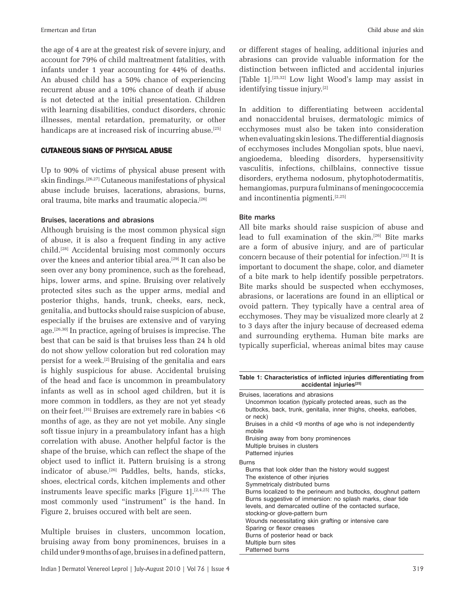the age of 4 are at the greatest risk of severe injury, and account for 79% of child maltreatment fatalities, with infants under 1 year accounting for 44% of deaths. An abused child has a 50% chance of experiencing recurrent abuse and a 10% chance of death if abuse is not detected at the initial presentation. Children with learning disabilities, conduct disorders, chronic illnesses, mental retardation, prematurity, or other handicaps are at increased risk of incurring abuse.<sup>[25]</sup>

### CUTANEOUS SIGNS OF PHYSICAL ABUSE

Up to 90% of victims of physical abuse present with skin findings.[26,27] Cutaneous manifestations of physical abuse include bruises, lacerations, abrasions, burns, oral trauma, bite marks and traumatic alopecia.[26]

#### Bruises, lacerations and abrasions

Although bruising is the most common physical sign of abuse, it is also a frequent finding in any active child.[28] Accidental bruising most commonly occurs over the knees and anterior tibial area.<sup>[29]</sup> It can also be seen over any bony prominence, such as the forehead, hips, lower arms, and spine. Bruising over relatively protected sites such as the upper arms, medial and posterior thighs, hands, trunk, cheeks, ears, neck, genitalia, and buttocks should raise suspicion of abuse, especially if the bruises are extensive and of varying age.[26,30] In practice, ageing of bruises is imprecise. The best that can be said is that bruises less than 24 h old do not show yellow coloration but red coloration may persist for a week.[2] Bruising of the genitalia and ears is highly suspicious for abuse. Accidental bruising of the head and face is uncommon in preambulatory infants as well as in school aged children, but it is more common in toddlers, as they are not yet steady on their feet.<sup>[31]</sup> Bruises are extremely rare in babies  $<$  6 months of age, as they are not yet mobile. Any single soft tissue injury in a preambulatory infant has a high correlation with abuse. Another helpful factor is the shape of the bruise, which can reflect the shape of the object used to inflict it. Pattern bruising is a strong indicator of abuse.[26] Paddles, belts, hands, sticks, shoes, electrical cords, kitchen implements and other instruments leave specific marks [Figure 1]. $[2,4,25]$  The most commonly used "instrument" is the hand. In Figure 2, bruises occured with belt are seen.

Multiple bruises in clusters, uncommon location, bruising away from bony prominences, bruises in a child under 9 months of age, bruises in a defined pattern,

or different stages of healing, additional injuries and abrasions can provide valuable information for the distinction between inflicted and accidental injuries [Table 1].[25,32] Low light Wood's lamp may assist in identifying tissue injury.[2]

In addition to differentiating between accidental and nonaccidental bruises, dermatologic mimics of ecchymoses must also be taken into consideration when evaluating skin lesions. The differential diagnosis of ecchymoses includes Mongolian spots, blue naevi, angioedema, bleeding disorders, hypersensitivity vasculitis, infections, chilblains, connective tissue disorders, erythema nodosum, phytophotodermatitis, hemangiomas, purpura fulminans of meningococcemia and incontinentia pigmenti.[2,25]

## Bite marks

All bite marks should raise suspicion of abuse and lead to full examination of the skin.<sup>[26]</sup> Bite marks are a form of abusive injury, and are of particular concern because of their potential for infection.[33] It is important to document the shape, color, and diameter of a bite mark to help identify possible perpetrators. Bite marks should be suspected when ecchymoses, abrasions, or lacerations are found in an elliptical or ovoid pattern. They typically have a central area of ecchymoses. They may be visualized more clearly at 2 to 3 days after the injury because of decreased edema and surrounding erythema. Human bite marks are typically superficial, whereas animal bites may cause

#### **Table 1: Characteristics of inflicted injuries differentiating from accidental injuries[25]**

| Bruises, lacerations and abrasions<br>Uncommon location (typically protected areas, such as the<br>buttocks, back, trunk, genitalia, inner thighs, cheeks, earlobes,<br>or neck)<br>Bruises in a child <9 months of age who is not independently<br>mobile<br>Bruising away from bony prominences<br>Multiple bruises in clusters<br>Patterned injuries                                                                                                                                                                                   |  |
|-------------------------------------------------------------------------------------------------------------------------------------------------------------------------------------------------------------------------------------------------------------------------------------------------------------------------------------------------------------------------------------------------------------------------------------------------------------------------------------------------------------------------------------------|--|
| <b>Burns</b><br>Burns that look older than the history would suggest<br>The existence of other injuries<br>Symmetricaly distributed burns<br>Burns localized to the perineum and buttocks, doughnut pattern<br>Burns suggestive of immersion: no splash marks, clear tide<br>levels, and demarcated outline of the contacted surface,<br>stocking-or glove-pattern burn<br>Wounds necessitating skin grafting or intensive care<br>Sparing or flexor creases<br>Burns of posterior head or back<br>Multiple burn sites<br>Patterned burns |  |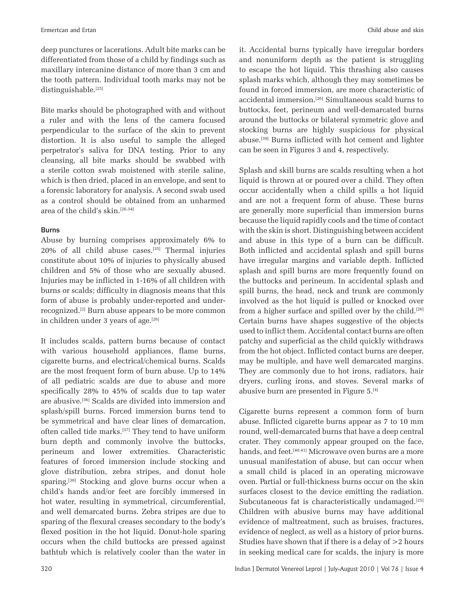deep punctures or lacerations. Adult bite marks can be differentiated from those of a child by findings such as maxillary intercanine distance of more than 3 cm and the tooth pattern. Individual tooth marks may not be distinguishable.<sup>[25]</sup>

Bite marks should be photographed with and without a ruler and with the lens of the camera focused perpendicular to the surface of the skin to prevent distortion. It is also useful to sample the alleged perpetrator's saliva for DNA testing. Prior to any cleansing, all bite marks should be swabbed with a sterile cotton swab moistened with sterile saline, which is then dried, placed in an envelope, and sent to a forensic laboratory for analysis. A second swab used as a control should be obtained from an unharmed area of the child's skin.[26,34]

## Burns

Abuse by burning comprises approximately 6% to 20% of all child abuse cases.[35] Thermal injuries constitute about 10% of injuries to physically abused children and 5% of those who are sexually abused. Injuries may be inflicted in 1-16% of all children with burns or scalds; difficulty in diagnosis means that this form of abuse is probably under-reported and underrecognized.[2] Burn abuse appears to be more common in children under 3 years of age. $[26]$ 

It includes scalds, pattern burns because of contact with various household appliances, flame burns, cigarette burns, and electrical/chemical burns. Scalds are the most frequent form of burn abuse. Up to 14% of all pediatric scalds are due to abuse and more specifically 28% to 45% of scalds due to tap water are abusive.[36] Scalds are divided into immersion and splash/spill burns. Forced immersion burns tend to be symmetrical and have clear lines of demarcation, often called tide marks.[37] They tend to have uniform burn depth and commonly involve the buttocks, perineum and lower extremities. Characteristic features of forced immersion include stocking and glove distribution, zebra stripes, and donut hole sparing.<sup>[38]</sup> Stocking and glove burns occur when a child's hands and/or feet are forcibly immersed in hot water, resulting in symmetrical, circumferential, and well demarcated burns. Zebra stripes are due to sparing of the flexural creases secondary to the body's flexed position in the hot liquid. Donut-hole sparing occurs when the child buttocks are pressed against bathtub which is relatively cooler than the water in it. Accidental burns typically have irregular borders and nonuniform depth as the patient is struggling to escape the hot liquid. This thrashing also causes splash marks which, although they may sometimes be found in forced immersion, are more characteristic of accidental immersion.[26] Simultaneous scald burns to buttocks, feet, perineum and well-demarcated burns around the buttocks or bilateral symmetric glove and stocking burns are highly suspicious for physical abuse.[39] Burns inflicted with hot cement and lighter can be seen in Figures 3 and 4, respectively.

Splash and skill burns are scalds resulting when a hot liquid is thrown at or poured over a child. They often occur accidentally when a child spills a hot liquid and are not a frequent form of abuse. These burns are generally more superficial than immersion burns because the liquid rapidly cools and the time of contact with the skin is short. Distinguishing between accident and abuse in this type of a burn can be difficult. Both inflicted and accidental splash and spill burns have irregular margins and variable depth. Inflicted splash and spill burns are more frequently found on the buttocks and perineum. In accidental splash and spill burns, the head, neck and trunk are commonly involved as the hot liquid is pulled or knocked over from a higher surface and spilled over by the child.[26] Certain burns have shapes suggestive of the objects used to inflict them. Accidental contact burns are often patchy and superficial as the child quickly withdraws from the hot object. Inflicted contact burns are deeper, may be multiple, and have well demarcated margins. They are commonly due to hot irons, radiators, hair dryers, curling irons, and stoves. Several marks of abusive burn are presented in Figure 5.<sup>[4]</sup>

Cigarette burns represent a common form of burn abuse. Inflicted cigarette burns appear as 7 to 10 mm round, well-demarcated burns that have a deep central crater. They commonly appear grouped on the face, hands, and feet.<sup>[40,41]</sup> Microwave oven burns are a more unusual manifestation of abuse, but can occur when a small child is placed in an operating microwave oven. Partial or full-thickness burns occur on the skin surfaces closest to the device emitting the radiation. Subcutaneous fat is characteristically undamaged.<sup>[25]</sup> Children with abusive burns may have additional evidence of maltreatment, such as bruises, fractures, evidence of neglect, as well as a history of prior burns. Studies have shown that if there is a delay of >2 hours in seeking medical care for scalds, the injury is more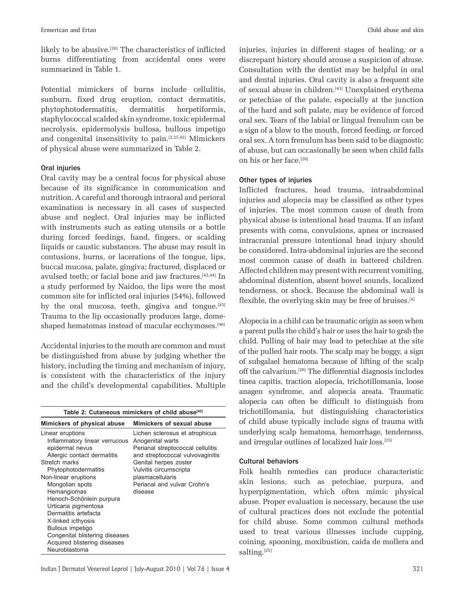likely to be abusive.[26] The characteristics of inflicted burns differentiating from accidental ones were summarized in Table 1.

Potential mimickers of burns include cellulitis, sunburn, fixed drug eruption, contact dermatitis, phytophotodermatitis, dermatitis herpetiformis, staphylococcal scalded skin syndrome, toxic epidermal necrolysis, epidermolysis bullosa, bullous impetigo and congenital insensitivity to pain.[2,25,42] Mimickers of physical abuse were summarized in Table 2.

#### **Oral injuries**

Oral cavity may be a central focus for physical abuse because of its significance in communication and nutrition. A careful and thorough intraoral and perioral examination is necessary in all cases of suspected abuse and neglect. Oral injuries may be inflicted with instruments such as eating utensils or a bottle during forced feedings, hand, fingers, or scalding liquids or caustic substances. The abuse may result in contusions, burns, or lacerations of the tongue, lips, buccal mucosa, palate, gingiva; fractured, displaced or avulsed teeth; or facial bone and jaw fractures.[43,44] In a study performed by Naidoo, the lips were the most common site for inflicted oral injuries (54%), followed by the oral mucosa, teeth, gingiva and tongue. $[45]$ Trauma to the lip occasionally produces large, domeshaped hematomas instead of macular ecchymoses.<sup>[46]</sup>

Accidental injuries to the mouth are common and must be distinguished from abuse by judging whether the history, including the timing and mechanism of injury, is consistent with the characteristics of the injury and the child's developmental capabilities. Multiple

| Table 2: Cutaneous mimickers of child abuse <sup>[42]</sup>                                                                                                                                                                                                                                                                                                                                                     |                                                                                                                                                                                                                                              |  |
|-----------------------------------------------------------------------------------------------------------------------------------------------------------------------------------------------------------------------------------------------------------------------------------------------------------------------------------------------------------------------------------------------------------------|----------------------------------------------------------------------------------------------------------------------------------------------------------------------------------------------------------------------------------------------|--|
| Mimickers of physical abuse                                                                                                                                                                                                                                                                                                                                                                                     | Mimickers of sexual abuse                                                                                                                                                                                                                    |  |
| Linear eruptions<br>Inflammatory linear verrucous<br>epidermal nevus<br>Allergic contact dermatitis<br>Stretch marks<br>Phytophotodermatitis<br>Non-linear eruptions<br>Mongolian spots<br>Hemangiomas<br>Henoch-Schönlein purpura<br>Urticaria pigmentosa<br>Dermatitis artefacta<br>X-linked icthyosis<br>Bullous impetigo<br>Congenital blistering diseases<br>Acquired blistering diseases<br>Neuroblastoma | Lichen sclerosus et atrophicus<br>Anogenital warts<br>Perianal streptococcal cellulitis<br>and streptococcal vulvovaginitis<br>Genital herpes zoster<br>Vulvitis circumscripta<br>plasmacellularis<br>Perianal and vulvar Crohn's<br>disease |  |

injuries, injuries in different stages of healing, or a discrepant history should arouse a suspicion of abuse. Consultation with the dentist may be helpful in oral and dental injuries. Oral cavity is also a frequent site of sexual abuse in children.[43] Unexplained erythema or petechiae of the palate, especially at the junction of the hard and soft palate, may be evidence of forced oral sex. Tears of the labial or lingual frenulum can be a sign of a blow to the mouth, forced feeding, or forced oral sex. A torn frenulum has been said to be diagnostic of abuse, but can occasionally be seen when child falls on his or her face.[26]

### Other types of injuries

Inflicted fractures, head trauma, intraabdominal injuries and alopecia may be classified as other types of injuries. The most common cause of death from physical abuse is intentional head trauma. If an infant presents with coma, convulsions, apnea or increased intracranial pressure intentional head injury should be considered. Intra-abdominal injuries are the second most common cause of death in battered children. Affected children may present with recurrent vomiting, abdominal distention, absent bowel sounds, localized tenderness, or shock. Because the abdominal wall is flexible, the overlying skin may be free of bruises.[4]

Alopecia in a child can be traumatic origin as seen when a parent pulls the child's hair or uses the hair to grab the child. Pulling of hair may lead to petechiae at the site of the pulled hair roots. The scalp may be boggy, a sign of subgalael hematoma because of lifting of the scalp off the calvarium.[26] The differential diagnosis includes tinea capitis, traction alopecia, trichotillomania, loose anagen syndrome, and alopecia areata. Traumatic alopecia can often be difficult to distinguish from trichotillomania, but distinguishing characteristics of child abuse typically include signs of trauma with underlying scalp hematoma, hemorrhage, tenderness, and irregular outlines of localized hair loss.[25]

### Cultural behaviors

Folk health remedies can produce characteristic skin lesions, such as petechiae, purpura, and hyperpigmentation, which often mimic physical abuse. Proper evaluation is necessary, because the use of cultural practices does not exclude the potential for child abuse. Some common cultural methods used to treat various illnesses include cupping, coining, spooning, moxibustion, caida de mollera and salting.[25]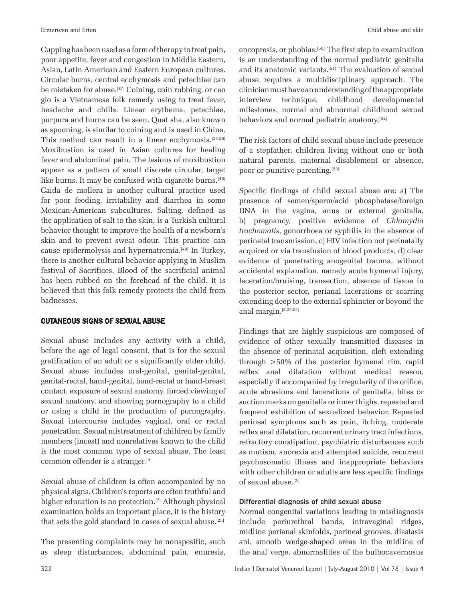Cupping has been used as a form of therapy to treat pain, poor appetite, fever and congestion in Middle Eastern, Asian, Latin American and Eastern European cultures. Circular burns, central ecchymosis and petechiae can be mistaken for abuse.<sup>[47]</sup> Coining, coin rubbing, or cao gio is a Vietnamese folk remedy using to treat fever, headache and chills. Linear erythema, petechiae, purpura and burns can be seen. Quat sha, also known as spooning, is similar to coining and is used in China. This method can result in a linear ecchymosis.[25,26] Moxibustion is used in Asian cultures for healing fever and abdominal pain. The lesions of moxibustion appear as a pattern of small discrete circular, target like burns. It may be confused with cigarette burns.<sup>[48]</sup> Caida de mollera is another cultural practice used for poor feeding, irritability and diarrhea in some Mexican-American subcultures. Salting, defined as the application of salt to the skin, is a Turkish cultural behavior thought to improve the health of a newborn's skin and to prevent sweat odour. This practice can cause epidermolysis and hypernatremia.[49] In Turkey, there is another cultural behavior applying in Muslim festival of Sacrifices. Blood of the sacrificial animal has been rubbed on the forehead of the child. It is believed that this folk remedy protects the child from badnesses.

## CUTANEOUS SIGNS OF SEXUAL ABUSE

Sexual abuse includes any activity with a child, before the age of legal consent, that is for the sexual gratification of an adult or a significantly older child. Sexual abuse includes oral-genital, genital-genital, genital-rectal, hand-genital, hand-rectal or hand-breast contact, exposure of sexual anatomy, forced viewing of sexual anatomy, and showing pornography to a child or using a child in the production of pornography. Sexual intercourse includes vaginal, oral or rectal penetration. Sexual mistreatment of children by family members (incest) and nonrelatives known to the child is the most common type of sexual abuse. The least common offender is a stranger.<sup>[4]</sup>

Sexual abuse of children is often accompanied by no physical signs. Children's reports are often truthful and higher education is no protection.<sup>[2]</sup> Although physical examination holds an important place, it is the history that sets the gold standard in cases of sexual abuse.[25]

The presenting complaints may be nonspesific, such as sleep disturbances, abdominal pain, enuresis, encopresis, or phobias.<sup>[50]</sup> The first step to examination is an understanding of the normal pediatric genitalia and its anatomic variants.[51] The evaluation of sexual abuse requires a multidisciplinary approach. The clinician must have an understanding of the appropriate interview technique, childhood developmental milestones, normal and abnormal childhood sexual behaviors and normal pediatric anatomy.[52]

The risk factors of child sexual abuse include presence of a stepfather, children living without one or both natural parents, maternal disablement or absence, poor or punitive parenting.[53]

Specific findings of child sexual abuse are: a) The presence of semen/sperm/acid phosphatase/foreign DNA in the vagina, anus or external genitalia, b) pregnancy, positive evidence of *Chlamydia trachomatis*, gonorrhoea or syphilis in the absence of perinatal transmission, c) HIV infection not perinatally acquired or via transfusion of blood products, d) clear evidence of penetrating anogenital trauma, without accidental explanation, namely acute hymenal injury, laceration/bruising, transection, absence of tissue in the posterior sector, perianal lacerations or scarring extending deep to the external sphincter or beyond the anal margin.[2,25,54]

Findings that are highly suspicious are composed of evidence of other sexually transmitted diseases in the absence of perinatal acquisition, cleft extending through >50% of the posterior hymenal rim, rapid reflex anal dilatation without medical reason, especially if accompanied by irregularity of the orifice, acute abrasions and lacerations of genitalia, bites or suction marks on genitalia or inner thighs, repeated and frequent exhibition of sexualized behavior. Repeated perineal symptoms such as pain, itching, moderate reflex anal dilatation, recurrent urinary tract infections, refractory constipation, psychiatric disturbances such as mutism, anorexia and attempted suicide, recurrent psychosomatic illness and inappropriate behaviors with other children or adults are less specific findings of sexual abuse.[2]

### Differential diagnosis of child sexual abuse

Normal congenital variations leading to misdiagnosis include periurethral bands, intravaginal ridges, midline perianal skinfolds, perineal grooves, diastasis ani, smooth wedge-shaped areas in the midline of the anal verge, abnormalities of the bulbocavernosus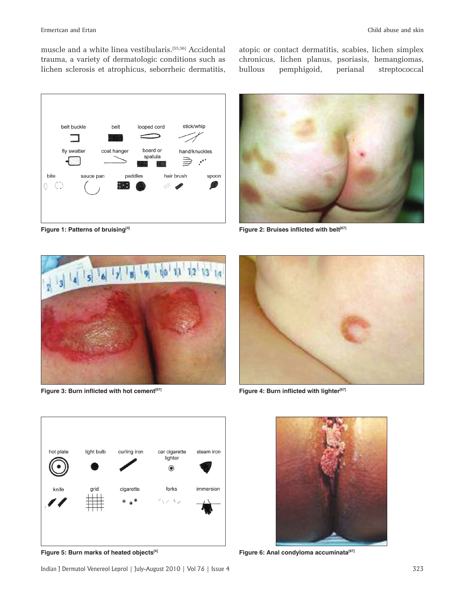muscle and a white linea vestibularis.[55,56] Accidental trauma, a variety of dermatologic conditions such as lichen sclerosis et atrophicus, seborrheic dermatitis,

atopic or contact dermatitis, scabies, lichen simplex chronicus, lichen planus, psoriasis, hemangiomas, bullous pemphigoid, perianal streptococcal





**Figure 1: Patterns of bruising[4] Figure 2: Bruises inflicted with belt[67]**



**Figure 3: Burn inflicted with hot cement[67]**



**Figure 4: Burn inflicted with lighter[67]**



**Figure 5: Burn marks of heated objects[4]**

Indian J Dermatol Venereol Leprol | July-August 2010 | Vol 76 | Issue 4 323



**Figure 6: Anal condyloma accuminata[67]**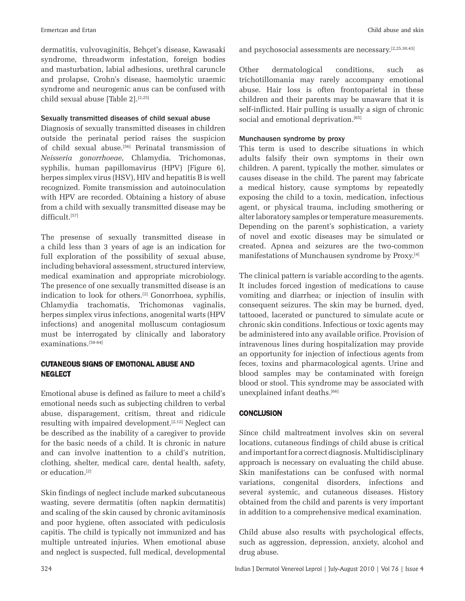dermatitis, vulvovaginitis, Behçet's disease, Kawasaki syndrome, threadworm infestation, foreign bodies and masturbation, labial adhesions, urethral caruncle and prolapse, Crohn's disease, haemolytic uraemic syndrome and neurogenic anus can be confused with child sexual abuse [Table 2].[2,25]

# Sexually transmitted diseases of child sexual abuse

Diagnosis of sexually transmitted diseases in children outside the perinatal period raises the suspicion of child sexual abuse.<sup>[56]</sup> Perinatal transmission of *Neisseria gonorrhoeae*, Chlamydia, Trichomonas, syphilis, human papillomavirus (HPV) [Figure 6], herpes simplex virus (HSV), HIV and hepatitis B is well recognized. Fomite transmission and autoinoculation with HPV are recorded. Obtaining a history of abuse from a child with sexually transmitted disease may be difficult.[57]

The presense of sexually transmitted disease in a child less than 3 years of age is an indication for full exploration of the possibility of sexual abuse, including behavioral assessment, structured interview, medical examination and appropriate microbiology. The presence of one sexually transmitted disease is an indication to look for others.[2] Gonorrhoea, syphilis, Chlamydia trachomatis, Trichomonas vaginalis, herpes simplex virus infections, anogenital warts (HPV infections) and anogenital molluscum contagiosum must be interrogated by clinically and laboratory examinations.[58-64]

## CUTANEOUS SIGNS OF EMOTIONAL ABUSE AND **NEGLECT**

Emotional abuse is defined as failure to meet a child's emotional needs such as subjecting children to verbal abuse, disparagement, critism, threat and ridicule resulting with impaired development.[2,12] Neglect can be described as the inability of a caregiver to provide for the basic needs of a child. It is chronic in nature and can involve inattention to a child's nutrition, clothing, shelter, medical care, dental health, safety, or education.[2]

Skin findings of neglect include marked subcutaneous wasting, severe dermatitis (often napkin dermatitis) and scaling of the skin caused by chronic avitaminosis and poor hygiene, often associated with pediculosis capitis. The child is typically not immunized and has multiple untreated injuries. When emotional abuse and neglect is suspected, full medical, developmental and psychosocial assessments are necessary.[2,25,30,43]

Other dermatological conditions, such as trichotillomania may rarely accompany emotional abuse. Hair loss is often frontoparietal in these children and their parents may be unaware that it is self-inflicted. Hair pulling is usually a sign of chronic social and emotional deprivation.<sup>[65]</sup>

## Munchausen syndrome by proxy

This term is used to describe situations in which adults falsify their own symptoms in their own children. A parent, typically the mother, simulates or causes disease in the child. The parent may fabricate a medical history, cause symptoms by repeatedly exposing the child to a toxin, medication, infectious agent, or physical trauma, including smothering or alter laboratory samples or temperature measurements. Depending on the parent's sophistication, a variety of novel and exotic diseases may be simulated or created. Apnea and seizures are the two-common manifestations of Munchausen syndrome by Proxy.[4]

The clinical pattern is variable according to the agents. It includes forced ingestion of medications to cause vomiting and diarrhea; or injection of insulin with consequent seizures. The skin may be burned, dyed, tattooed, lacerated or punctured to simulate acute or chronic skin conditions. Infectious or toxic agents may be administered into any available orifice. Provision of intravenous lines during hospitalization may provide an opportunity for injection of infectious agents from feces, toxins and pharmacological agents. Urine and blood samples may be contaminated with foreign blood or stool. This syndrome may be associated with unexplained infant deaths.<sup>[66]</sup>

## **CONCLUSION**

Since child maltreatment involves skin on several locations, cutaneous findings of child abuse is critical and important for a correct diagnosis. Multidisciplinary approach is necessary on evaluating the child abuse. Skin manifestations can be confused with normal variations, congenital disorders, infections and several systemic, and cutaneous diseases. History obtained from the child and parents is very important in addition to a comprehensive medical examination.

Child abuse also results with psychological effects, such as aggression, depression, anxiety, alcohol and drug abuse.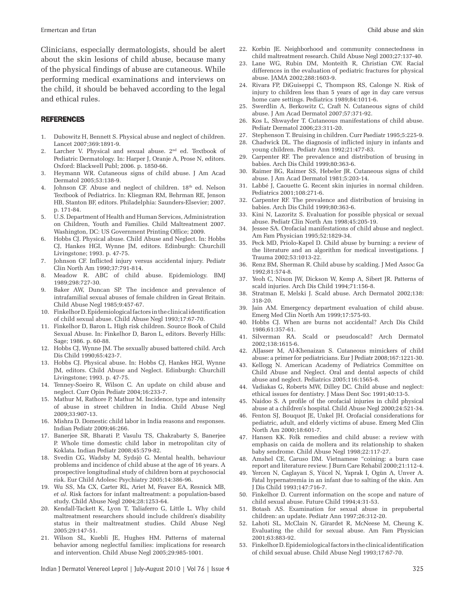Clinicians, especially dermatologists, should be alert about the skin lesions of child abuse, because many of the physical findings of abuse are cutaneous. While performing medical examinations and interviews on the child, it should be behaved according to the legal and ethical rules.

#### REFERENCES

- 1. Dubowitz H, Bennett S. Physical abuse and neglect of children. Lancet 2007;369:1891-9.
- Larcher V. Physical and sexual abuse. 2<sup>nd</sup> ed. Textbook of Pediatric Dermatology. In: Harper J, Oranje A, Prose N, editors. Oxford: Blackwell Publ; 2006. p. 1850-66.
- 3. Heymann WR. Cutaneous signs of child abuse. J Am Acad Dermatol 2005;53:138-9.
- Johnson CF. Abuse and neglect of children. 18th ed. Nelson Textbook of Pediatrics. In: Kliegman RM, Behrman RE, Jenson HB, Stanton BF, editors. Philadelphia: Saunders-Elsevier; 2007. p. 171-84.
- 5. U.S. Department of Health and Human Services, Administration on Children, Youth and Families. Child Maltreatment 2007. Washington, DC: US Government Printing Office; 2009.
- 6. Hobbs CJ. Physical abuse. Child Abuse and Neglect. In: Hobbs CJ, Hankes HGI, Wynne JM, editors. Edinburgh: Churchill Livingstone; 1993. p. 47-75.
- 7. Johnson CF. Inflicted injury versus accidental injury. Pediatr Clin North Am 1990;37:791-814.
- 8. Meadow R. ABC of child abuse. Epidemiology. BMJ 1989;298:727-30.
- 9. Baker AW, Duncan SP. The incidence and prevalence of intrafamilial sexual abuses of female children in Great Britain. Child Abuse Negl 1985;9:457-67.
- 10. Finkelhor D. Epidemiological factors in the clinical identification of child sexual abuse. Child Abuse Negl 1993;17:67-70.
- 11. Finkelhor D, Baron L. High risk children. Source Book of Child Sexual Abuse. In: Finkelhor D, Baron L, editors. Beverly Hills: Sage; 1986. p. 60-88.
- 12. Hobbs CJ, Wynne JM. The sexually abused battered child. Arch Dis Child 1990;65:423-7.
- 13. Hobbs CJ. Physical abuse. In: Hobbs CJ, Hankes HGI, Wynne JM, editors. Child Abuse and Neglect. Edinburgh: Churchill Livingstone; 1993. p. 47-75.
- 14. Tenney-Soeiro R, Wilson C. An update on child abuse and neglect. Curr Opin Pediatr 2004;16:233-7.
- 15. Mathur M, Rathore P, Mathur M. Incidence, type and intensity of abuse in street children in India. Child Abuse Negl 2009;33:907-13.
- 16. Mishra D. Domestic child labor in India reasons and responses. Indian Pediatr 2009;46:266.
- 17. Banerjee SR, Bharati P, Vasulu TS, Chakrabarty S, Banerjee P. Whole time domestic child labor in metropolitan city of Koklata. Indian Pediatr 2008;45:579-82.
- 18. Svedin CG, Wadsby M, Sydsjö G. Mental health, behaviour problems and incidence of child abuse at the age of 16 years. A prospective longitudinal study of children born at psychosocial risk. Eur Child Adolesc Psychiatry 2005;14:386-96.
- 19. Wu SS, Ma CX, Carter RL, Ariet M, Feaver EA, Resnick MB, *et al*. Risk factors for infant maltreatment: a population-based study. Child Abuse Negl 2004;28:1253-64.
- 20. Kendall-Tackett K, Lyon T, Taliaferro G, Little L. Why child maltreatment researchers should include children's disability status in their maltreatment studies. Child Abuse Negl 2005;29:147-51.
- 21. Wilson SL, Kuebli JE, Hughes HM. Patterns of maternal behavior among neglectful families: implications for research and intervention. Child Abuse Negl 2005;29:985-1001.
- 22. Korbin JE. Neighborhood and community connectedness in child maltreatment research. Child Abuse Negl 2003;27:137-40.
- 23. Lane WG, Rubin DM, Monteith R, Christian CW. Racial differences in the evaluation of pediatric fractures for physical abuse. JAMA 2002;288:1603-9.
- 24. Rivara FP, DiGuiseppi C, Thompson RS, Calonge N. Risk of injury to children less than 5 years of age in day care versus home care settings. Pediatrics 1989;84:1011-6.
- 25. Swerdlin A, Berkowitz C, Craft N. Cutaneous signs of child abuse. J Am Acad Dermatol 2007;57:371-92.
- 26. Kos L, Shwayder T. Cutaneous manifestations of child abuse. Pediatr Dermatol 2006;23:311-20.
- 27. Stephenson T. Bruising in children. Curr Paediatr 1995;5:225-9.
- 28. Chadwick DL. The diagnosis of inflicted injury in infants and young children. Pediatr Ann 1992;21:477-83.
- 29. Carpenter RF. The prevalence and distribution of brusing in babies. Arch Dis Child 1999;80:363-6.
- 30. Raimer BG, Raimer SS, Hebeler JR. Cutaneous signs of child abuse. J Am Acad Dermatol 1981;5:203-14.
- 31. Labbé J, Caouette G. Recent skin injuries in normal children. Pediatrics 2001;108:271-6.
- 32. Carpenter RF. The prevalence and distribution of bruising in babies. Arch Dis Child 1999;80:363-6.
- 33. Kini N, Lazoritz S. Evaluation for possible physical or sexual abuse. Pediatr Clin North Am 1998;45:205-19.
- 34. Jessee SA. Orofacial manifestations of child abuse and neglect. Am Fam Physician 1995;52:1829-34.
- 35. Peck MD, Priolo-Kapel D. Child abuse by burning: a review of the literature and an algorithm for medical investigations. J Trauma 2002;53:1013-22.
- 36. Renz BM, Sherman R. Child abuse by scalding. J Med Assoc Ga 1992;81:574-8.
- 37. Yeoh C, Nixon JW, Dickson W, Kemp A, Sibert JR. Patterns of scald injuries. Arch Dis Child 1994;71:156-8.
- 38. Stratman E, Melski J. Scald abuse. Arch Dermatol 2002;138: 318-20.
- 39. Jain AM. Emergency department evaluation of child abuse. Emerg Med Clin North Am 1999;17:575-93.
- 40. Hobbs CJ. When are burns not accidental? Arch Dis Child 1986;61:357-61.
- 41. Silverman RA. Scald or pseudoscald? Arch Dermatol 2002;138:1615-6.
- 42. AlJasser M, Al-Khenaizan S. Cutaneous mimickers of child abuse: a primer for pediatricians. Eur J Pediatr 2008;167:1221-30.
- 43. Kellogg N. American Academy of Pediatrics Committee on Child Abuse and Neglect. Oral and dental aspects of child abuse and neglect. Pediatrics 2005;116:1565-8.
- 44. Vadiakas G, Roberts MW, Dilley DC. Child abuse and neglect: ethical issues for dentistry. J Mass Dent Soc 1991;40:13-5.
- 45. Naidoo S. A profile of the orofacial injuries in child physical abuse at a children's hospital. Child Abuse Negl 2000;24:521-34.
- 46. Fenton SJ, Bouquot JE, Unkel JH. Orofacial considerations for pediatric, adult, and elderly victims of abuse. Emerg Med Clin North Am 2000;18:601-7.
- 47. Hansen KK. Folk remedies and child abuse: a review with emphasis on caida de mollera and its relationship to shaken baby sendrome. Child Abuse Negl 1998;22:117-27.
- 48. Amshel CE, Caruso DM. Vietnamese "coining: a burn case report and literature review. J Burn Care Rehabil 2000;21:112-4.
- 49. Yercen N, Caglayan S, Yücel N, Yaprak I, Ogün A, Unver A. Fatal hypernatremia in an infant due to salting of the skin. Am J Dis Child 1993;147:716-7.
- 50. Finkelhor D. Current information on the scope and nature of child sexual abuse. Future Child 1994;4:31-53.
- 51. Botash AS. Examination for sexual abuse in prepubertal children: an update. Pediatr Ann 1997;26:312-20.
- 52. Lahoti SL, McClain N, Girardet R, McNeese M, Cheung K. Evaluating the child for sexual abuse. Am Fam Physician 2001;63:883-92.
- 53. Finkelhor D. Epidemiological factors in the clinical identification of child sexual abuse. Child Abuse Negl 1993;17:67-70.